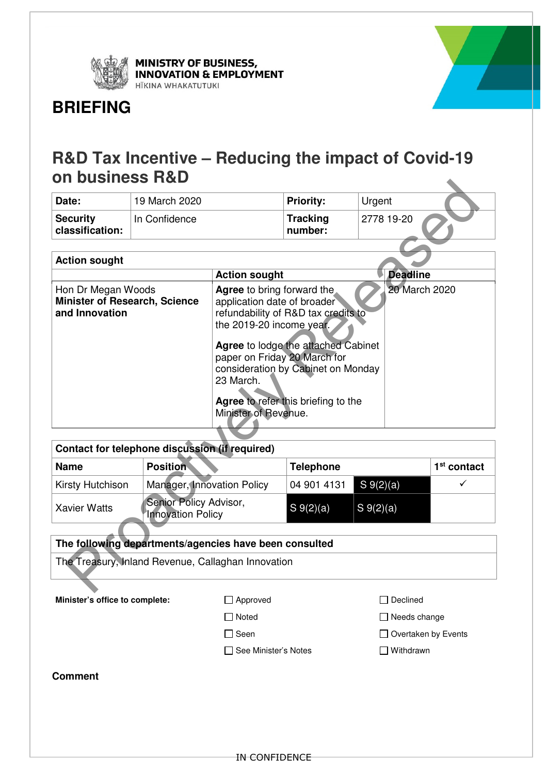

**MINISTRY OF BUSINESS,<br>INNOVATION & EMPLOYMENT** HĪKINA WHAKATUTUKI



# **BRIEFING**

# **R&D Tax Incentive – Reducing the impact of Covid-19 on business R&D**

| Date:                              | 19 March 2020 | <b>Priority:</b>           | Urgent     |
|------------------------------------|---------------|----------------------------|------------|
| <b>Security</b><br>classification: | In Confidence | <b>Tracking</b><br>number: | 2778 19-20 |

| Date:                                                                                                                                                                                                                                                                                                                                                                                                                  | 19 March 2020                                      |                            | <b>Priority:</b>           | Urgent          |               |
|------------------------------------------------------------------------------------------------------------------------------------------------------------------------------------------------------------------------------------------------------------------------------------------------------------------------------------------------------------------------------------------------------------------------|----------------------------------------------------|----------------------------|----------------------------|-----------------|---------------|
| <b>Security</b><br>classification:                                                                                                                                                                                                                                                                                                                                                                                     | In Confidence                                      |                            | <b>Tracking</b><br>number: | 2778 19-20      |               |
|                                                                                                                                                                                                                                                                                                                                                                                                                        |                                                    |                            |                            |                 |               |
| <b>Action sought</b>                                                                                                                                                                                                                                                                                                                                                                                                   |                                                    |                            |                            |                 |               |
|                                                                                                                                                                                                                                                                                                                                                                                                                        |                                                    | <b>Action sought</b>       |                            | <b>Deadline</b> |               |
| 20 March 2020<br>Hon Dr Megan Woods<br>Agree to bring forward the<br>application date of broader<br><b>Minister of Research, Science</b><br>and Innovation<br>refundability of R&D tax credits to<br>the 2019-20 income year.<br>Agree to lodge the attached Cabinet<br>paper on Friday 20 March for<br>consideration by Cabinet on Monday<br>23 March.<br>Agree to refer this briefing to the<br>Minister of Revenue. |                                                    |                            |                            |                 |               |
|                                                                                                                                                                                                                                                                                                                                                                                                                        | Contact for telephone discussion (if required)     |                            |                            |                 |               |
| <b>Name</b>                                                                                                                                                                                                                                                                                                                                                                                                            | <b>Position</b>                                    |                            |                            |                 | $1st$ contact |
| Kirsty Hutchison                                                                                                                                                                                                                                                                                                                                                                                                       |                                                    | Manager, Innovation Policy |                            | $S \ 9(2)(a)$   | ✓             |
| <b>Xavier Watts</b>                                                                                                                                                                                                                                                                                                                                                                                                    | Senior Policy Advisor,<br><b>Innovation Policy</b> |                            | $S \ 9(2)(a)$              | $S \ 9(2)(a)$   |               |
| The following departments/agencies have been consulted                                                                                                                                                                                                                                                                                                                                                                 |                                                    |                            |                            |                 |               |
|                                                                                                                                                                                                                                                                                                                                                                                                                        |                                                    |                            |                            |                 |               |
| The Treasury, Inland Revenue, Callaghan Innovation                                                                                                                                                                                                                                                                                                                                                                     |                                                    |                            |                            |                 |               |
|                                                                                                                                                                                                                                                                                                                                                                                                                        |                                                    |                            |                            |                 |               |

| Contact for telephone discussion (if required) |                                                    |                  |                         |               |
|------------------------------------------------|----------------------------------------------------|------------------|-------------------------|---------------|
| <b>Name</b>                                    | <b>Position</b>                                    | <b>Telephone</b> |                         | $1st$ contact |
| Kirsty Hutchison                               | Manager, Innovation Policy                         | 04 901 4131      | $S \ 9(2)(a)$           |               |
| <b>Xavier Watts</b>                            | Senior Policy Advisor,<br><b>Innovation Policy</b> | $S_{9(2)(a)}$    | $\vert S_9(2)(a) \vert$ |               |

| The following departments/agencies have been consulted |                      |                            |  |
|--------------------------------------------------------|----------------------|----------------------------|--|
| The Treasury, Inland Revenue, Callaghan Innovation     |                      |                            |  |
| Minister's office to complete:                         | $\Box$ Approved      | Declined                   |  |
|                                                        | <b>□</b> Noted       | $\Box$ Needs change        |  |
|                                                        | $\square$ Seen       | $\Box$ Overtaken by Events |  |
|                                                        | See Minister's Notes | Withdrawn                  |  |
| <b>Comment</b>                                         |                      |                            |  |
|                                                        |                      |                            |  |
|                                                        |                      |                            |  |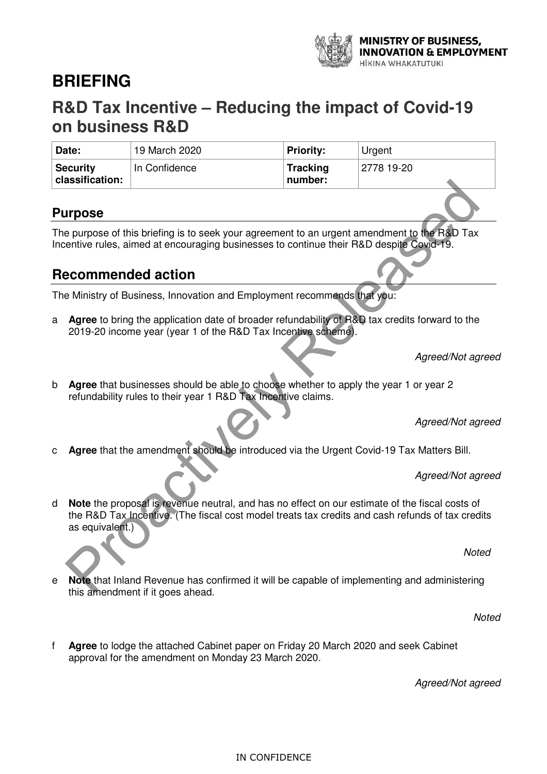

# **BRIEFING**

# **R&D Tax Incentive – Reducing the impact of Covid-19 on business R&D**

| Date:                              | 19 March 2020 | <b>Priority:</b>           | Urgent     |
|------------------------------------|---------------|----------------------------|------------|
| <b>Security</b><br>classification: | In Confidence | <b>Tracking</b><br>number: | 2778 19-20 |

## **Purpose**

The purpose of this briefing is to seek your agreement to an urgent amendment to the R&D Tax Incentive rules, aimed at encouraging businesses to continue their R&D despite Covid-19.

# **Recommended action**

The Ministry of Business, Innovation and Employment recommends that you:

a **Agree** to bring the application date of broader refundability of R&D tax credits forward to the 2019-20 income year (year 1 of the R&D Tax Incentive scheme).

Agreed/Not agreed

b **Agree** that businesses should be able to choose whether to apply the year 1 or year 2 refundability rules to their year 1 R&D Tax Incentive claims.

Agreed/Not agreed

c **Agree** that the amendment should be introduced via the Urgent Covid-19 Tax Matters Bill.

Agreed/Not agreed

d **Note** the proposal is revenue neutral, and has no effect on our estimate of the fiscal costs of the R&D Tax Incentive. (The fiscal cost model treats tax credits and cash refunds of tax credits as equivalent.) **ITPOSE**<br>
Propries of this briefing is to seek your agreement to an urgent amendment to the R&D Tax<br>
encommended action<br>
Ministry of Business, Innovation and Employment recommends that you:<br>
Agree to bring the application

Noted

e **Note** that Inland Revenue has confirmed it will be capable of implementing and administering this amendment if it goes ahead.

**Noted** 

f **Agree** to lodge the attached Cabinet paper on Friday 20 March 2020 and seek Cabinet approval for the amendment on Monday 23 March 2020.

Agreed/Not agreed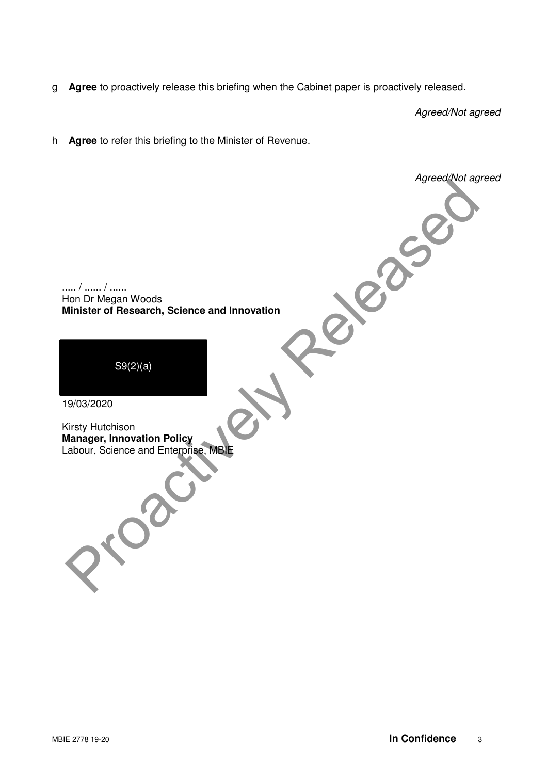g **Agree** to proactively release this briefing when the Cabinet paper is proactively released.

Agreed/Not agreed

Agreed/Not agreed

h **Agree** to refer this briefing to the Minister of Revenue.

..... / ...... / ...... Hon Dr Megan Woods **Minister of Research, Science and Innovation** From Dr Megan Woods<br>
Minister of Research, Science and Innovation<br>
S9(2)(a)<br>
9/03/2020<br>
About, Science and Enterprise Male

S9(2)(a)

19/03/2020

Kirsty Hutchison **Manager, Innovation Policy**  Labour, Science and Enterprise, MBIE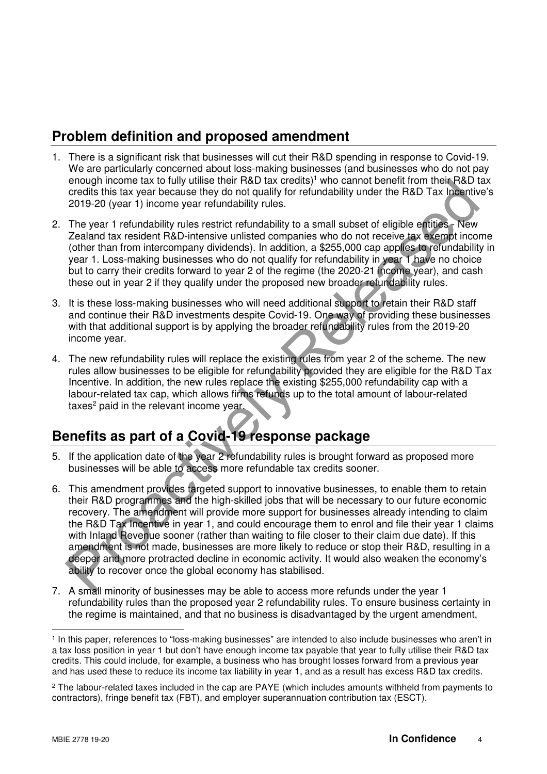# **Problem definition and proposed amendment**

- 1. There is a significant risk that businesses will cut their R&D spending in response to Covid-19. We are particularly concerned about loss-making businesses (and businesses who do not pay enough income tax to fully utilise their R&D tax credits)<sup>1</sup> who cannot benefit from their R&D tax credits this tax year because they do not qualify for refundability under the R&D Tax Incentive's 2019-20 (year 1) income year refundability rules.
- 2. The year 1 refundability rules restrict refundability to a small subset of eligible entities New Zealand tax resident R&D-intensive unlisted companies who do not receive tax exempt income (other than from intercompany dividends). In addition, a \$255,000 cap applies to refundability in year 1. Loss-making businesses who do not qualify for refundability in year 1 have no choice but to carry their credits forward to year 2 of the regime (the 2020-21 income year), and cash these out in year 2 if they qualify under the proposed new broader refundability rules.
- 3. It is these loss-making businesses who will need additional support to retain their R&D staff and continue their R&D investments despite Covid-19. One way of providing these businesses with that additional support is by applying the broader refundability rules from the 2019-20 income year.
- 4. The new refundability rules will replace the existing rules from year 2 of the scheme. The new rules allow businesses to be eligible for refundability provided they are eligible for the R&D Tax Incentive. In addition, the new rules replace the existing \$255,000 refundability cap with a labour-related tax cap, which allows firms refunds up to the total amount of labour-related taxes<sup>2</sup> paid in the relevant income year.

# **Benefits as part of a Covid-19 response package**

- 5. If the application date of the year 2 refundability rules is brought forward as proposed more businesses will be able to access more refundable tax credits sooner.
- 6. This amendment provides targeted support to innovative businesses, to enable them to retain their R&D programmes and the high-skilled jobs that will be necessary to our future economic recovery. The amendment will provide more support for businesses already intending to claim the R&D Tax Incentive in year 1, and could encourage them to enrol and file their year 1 claims with Inland Revenue sooner (rather than waiting to file closer to their claim due date). If this amendment is not made, businesses are more likely to reduce or stop their R&D, resulting in a deeper and more protracted decline in economic activity. It would also weaken the economy's ability to recover once the global economy has stabilised. enology innoven latik to that with that acted the peace the relationship of the tractive that we also the method to the relationship of the relationship of the relationship of the relationship of the relationship of the re
- 7. A small minority of businesses may be able to access more refunds under the year 1 refundability rules than the proposed year 2 refundability rules. To ensure business certainty in the regime is maintained, and that no business is disadvantaged by the urgent amendment,

 $\overline{a}$ 1 In this paper, references to "loss-making businesses" are intended to also include businesses who aren't in a tax loss position in year 1 but don't have enough income tax payable that year to fully utilise their R&D tax credits. This could include, for example, a business who has brought losses forward from a previous year and has used these to reduce its income tax liability in year 1, and as a result has excess R&D tax credits.

<sup>&</sup>lt;sup>2</sup> The labour-related taxes included in the cap are PAYE (which includes amounts withheld from payments to contractors), fringe benefit tax (FBT), and employer superannuation contribution tax (ESCT).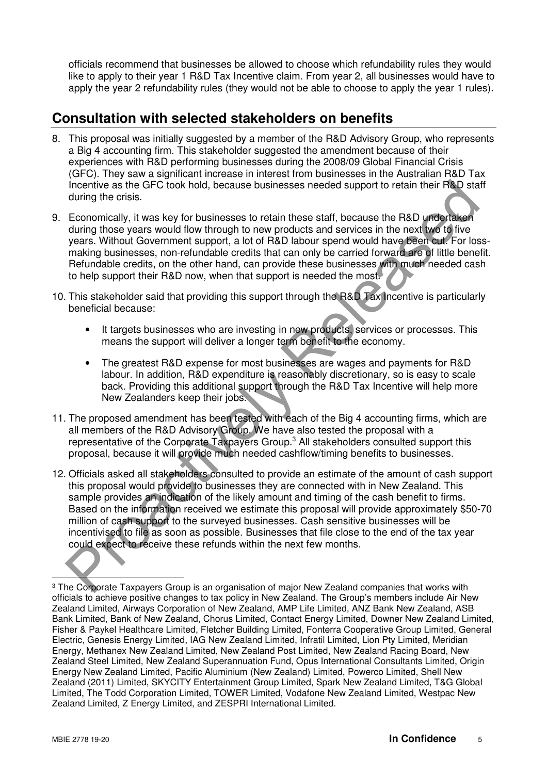officials recommend that businesses be allowed to choose which refundability rules they would like to apply to their year 1 R&D Tax Incentive claim. From year 2, all businesses would have to apply the year 2 refundability rules (they would not be able to choose to apply the year 1 rules).

# **Consultation with selected stakeholders on benefits**

- 8. This proposal was initially suggested by a member of the R&D Advisory Group, who represents a Big 4 accounting firm. This stakeholder suggested the amendment because of their experiences with R&D performing businesses during the 2008/09 Global Financial Crisis (GFC). They saw a significant increase in interest from businesses in the Australian R&D Tax Incentive as the GFC took hold, because businesses needed support to retain their R&D staff during the crisis.
- 9. Economically, it was key for businesses to retain these staff, because the R&D undertaken during those years would flow through to new products and services in the next two to five years. Without Government support, a lot of R&D labour spend would have been cut. For lossmaking businesses, non-refundable credits that can only be carried forward are of little benefit. Refundable credits, on the other hand, can provide these businesses with much needed cash to help support their R&D now, when that support is needed the most.
- 10. This stakeholder said that providing this support through the R&D Tax Incentive is particularly beneficial because:
	- It targets businesses who are investing in new products, services or processes. This means the support will deliver a longer term benefit to the economy.
	- The greatest R&D expense for most businesses are wages and payments for R&D labour. In addition, R&D expenditure is reasonably discretionary, so is easy to scale back. Providing this additional support through the R&D Tax Incentive will help more New Zealanders keep their jobs.
- 11. The proposed amendment has been tested with each of the Big 4 accounting firms, which are all members of the R&D Advisory Group. We have also tested the proposal with a representative of the Corporate Taxpayers Group.<sup>3</sup> All stakeholders consulted support this proposal, because it will provide much needed cashflow/timing benefits to businesses.
- 12. Officials asked all stakeholders consulted to provide an estimate of the amount of cash support this proposal would provide to businesses they are connected with in New Zealand. This sample provides an indication of the likely amount and timing of the cash benefit to firms. Based on the information received we estimate this proposal will provide approximately \$50-70 million of cash support to the surveyed businesses. Cash sensitive businesses will be incentivised to file as soon as possible. Businesses that file close to the end of the tax year could expect to receive these refunds within the next few months. Incentive as the GFC iook hold, because businesses needed support to retain their R&D states the GFC iook hold, because to retain these starf, because the R&D undertaken during those years would flow through to new product

 $\overline{a}$  $\,{}^{3}$  The Corporate Taxpayers Group is an organisation of major New Zealand companies that works with officials to achieve positive changes to tax policy in New Zealand. The Group's members include Air New Zealand Limited, Airways Corporation of New Zealand, AMP Life Limited, ANZ Bank New Zealand, ASB Bank Limited, Bank of New Zealand, Chorus Limited, Contact Energy Limited, Downer New Zealand Limited, Fisher & Paykel Healthcare Limited, Fletcher Building Limited, Fonterra Cooperative Group Limited, General Electric, Genesis Energy Limited, IAG New Zealand Limited, Infratil Limited, Lion Pty Limited, Meridian Energy, Methanex New Zealand Limited, New Zealand Post Limited, New Zealand Racing Board, New Zealand Steel Limited, New Zealand Superannuation Fund, Opus International Consultants Limited, Origin Energy New Zealand Limited, Pacific Aluminium (New Zealand) Limited, Powerco Limited, Shell New Zealand (2011) Limited, SKYCITY Entertainment Group Limited, Spark New Zealand Limited, T&G Global Limited, The Todd Corporation Limited, TOWER Limited, Vodafone New Zealand Limited, Westpac New Zealand Limited, Z Energy Limited, and ZESPRI International Limited.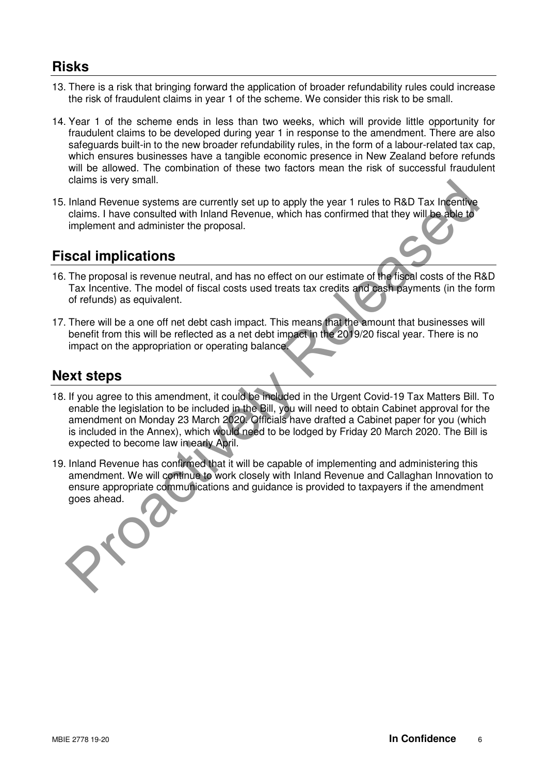## **Risks**

- 13. There is a risk that bringing forward the application of broader refundability rules could increase the risk of fraudulent claims in year 1 of the scheme. We consider this risk to be small.
- 14. Year 1 of the scheme ends in less than two weeks, which will provide little opportunity for fraudulent claims to be developed during year 1 in response to the amendment. There are also safeguards built-in to the new broader refundability rules, in the form of a labour-related tax cap, which ensures businesses have a tangible economic presence in New Zealand before refunds will be allowed. The combination of these two factors mean the risk of successful fraudulent claims is very small.
- 15. Inland Revenue systems are currently set up to apply the year 1 rules to R&D Tax Incentive claims. I have consulted with Inland Revenue, which has confirmed that they will be able to implement and administer the proposal.

# **Fiscal implications**

- 16. The proposal is revenue neutral, and has no effect on our estimate of the fiscal costs of the R&D Tax Incentive. The model of fiscal costs used treats tax credits and cash payments (in the form of refunds) as equivalent.
- 17. There will be a one off net debt cash impact. This means that the amount that businesses will benefit from this will be reflected as a net debt impact in the 2019/20 fiscal year. There is no impact on the appropriation or operating balance.

# **Next steps**

- 18. If you agree to this amendment, it could be included in the Urgent Covid-19 Tax Matters Bill. To enable the legislation to be included in the Bill, you will need to obtain Cabinet approval for the amendment on Monday 23 March 2020. Officials have drafted a Cabinet paper for you (which is included in the Annex), which would need to be lodged by Friday 20 March 2020. The Bill is expected to become law in early April. chains is very small.<br>
Indian Revenue systems are currently set up to apply the year 1 rules to R&D Tax internity<br>
claims. I have consulted with Inland Revenue, which has confirmed that they will be able to<br>
implement and
- 19. Inland Revenue has confirmed that it will be capable of implementing and administering this amendment. We will continue to work closely with Inland Revenue and Callaghan Innovation to ensure appropriate communications and guidance is provided to taxpayers if the amendment goes ahead.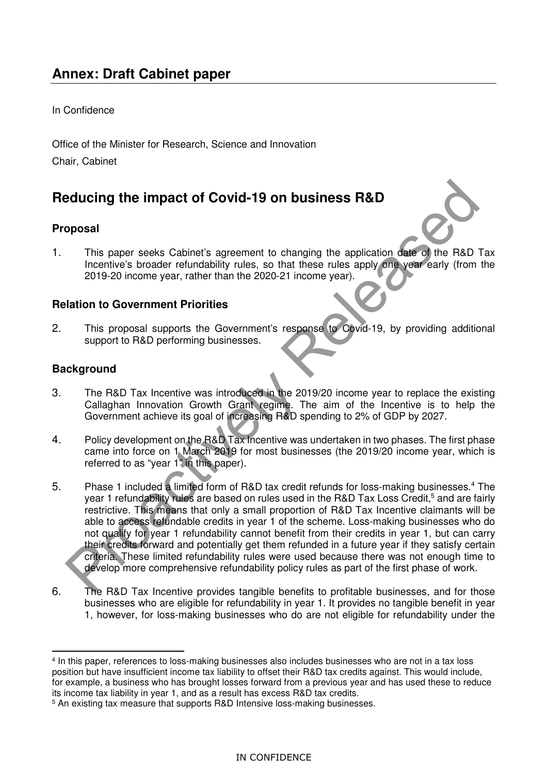### In Confidence

Office of the Minister for Research, Science and Innovation Chair, Cabinet

# **Reducing the impact of Covid-19 on business R&D**

## **Proposal**

1. This paper seeks Cabinet's agreement to changing the application date of the R&D Tax Incentive's broader refundability rules, so that these rules apply one year early (from the 2019-20 income year, rather than the 2020-21 income year).

## **Relation to Government Priorities**

2. This proposal supports the Government's response to Covid-19, by providing additional support to R&D performing businesses.

## **Background**

- 3. The R&D Tax Incentive was introduced in the 2019/20 income year to replace the existing Callaghan Innovation Growth Grant regime. The aim of the Incentive is to help the Government achieve its goal of increasing R&D spending to 2% of GDP by 2027.
- 4. Policy development on the R&D Tax Incentive was undertaken in two phases. The first phase came into force on 1 March 2019 for most businesses (the 2019/20 income year, which is referred to as "year 1" in this paper).
- 5. Phase 1 included a limited form of R&D tax credit refunds for loss-making businesses.<sup>4</sup> The year 1 refundability rules are based on rules used in the R&D Tax Loss Credit,<sup>5</sup> and are fairly restrictive. This means that only a small proportion of R&D Tax Incentive claimants will be able to access refundable credits in year 1 of the scheme. Loss-making businesses who do not qualify for year 1 refundability cannot benefit from their credits in year 1, but can carry their credits forward and potentially get them refunded in a future year if they satisfy certain criteria. These limited refundability rules were used because there was not enough time to develop more comprehensive refundability policy rules as part of the first phase of work. **Brownload the impact of Covid-19 on business R&D**<br>
I This paper seeks Cabinet's agreement to changing the application date of the R&D<br>
Incometric streament and the RO20-21 income year). The RBD<br>
Incording to the Release o
- 6. The R&D Tax Incentive provides tangible benefits to profitable businesses, and for those businesses who are eligible for refundability in year 1. It provides no tangible benefit in year 1, however, for loss-making businesses who do are not eligible for refundability under the

 $\overline{a}$ 4 In this paper, references to loss-making businesses also includes businesses who are not in a tax loss position but have insufficient income tax liability to offset their R&D tax credits against. This would include, for example, a business who has brought losses forward from a previous year and has used these to reduce its income tax liability in year 1, and as a result has excess R&D tax credits.

<sup>5</sup> An existing tax measure that supports R&D Intensive loss-making businesses.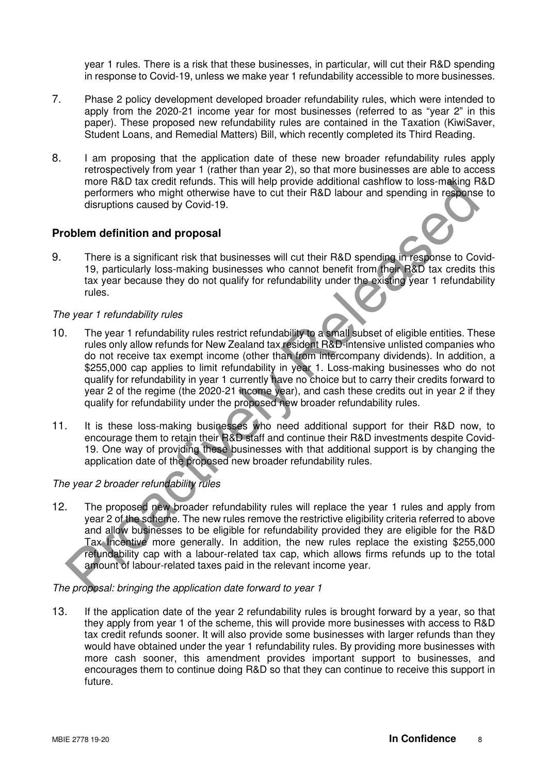year 1 rules. There is a risk that these businesses, in particular, will cut their R&D spending in response to Covid-19, unless we make year 1 refundability accessible to more businesses.

- 7. Phase 2 policy development developed broader refundability rules, which were intended to apply from the 2020-21 income year for most businesses (referred to as "year 2" in this paper). These proposed new refundability rules are contained in the Taxation (KiwiSaver, Student Loans, and Remedial Matters) Bill, which recently completed its Third Reading.
- 8. I am proposing that the application date of these new broader refundability rules apply retrospectively from year 1 (rather than year 2), so that more businesses are able to access more R&D tax credit refunds. This will help provide additional cashflow to loss-making R&D performers who might otherwise have to cut their R&D labour and spending in response to disruptions caused by Covid-19.

#### **Problem definition and proposal**

9. There is a significant risk that businesses will cut their R&D spending in response to Covid-19, particularly loss-making businesses who cannot benefit from their R&D tax credits this tax year because they do not qualify for refundability under the existing year 1 refundability rules.

#### The year 1 refundability rules

- 10. The year 1 refundability rules restrict refundability to a small subset of eligible entities. These rules only allow refunds for New Zealand tax resident R&D-intensive unlisted companies who do not receive tax exempt income (other than from intercompany dividends). In addition, a \$255,000 cap applies to limit refundability in year 1. Loss-making businesses who do not qualify for refundability in year 1 currently have no choice but to carry their credits forward to year 2 of the regime (the 2020-21 income year), and cash these credits out in year 2 if they qualify for refundability under the proposed new broader refundability rules. more H&U tax creat retundability and their R&D spanned and the matter of the smallength of the smallength of the smallength of the smallength of the smallength of the smallength of the smallength of the smallength of the s
- 11. It is these loss-making businesses who need additional support for their R&D now, to encourage them to retain their R&D staff and continue their R&D investments despite Covid-19. One way of providing these businesses with that additional support is by changing the application date of the proposed new broader refundability rules.

#### The year 2 broader refundability rules

12. The proposed new broader refundability rules will replace the year 1 rules and apply from year 2 of the scheme. The new rules remove the restrictive eligibility criteria referred to above and allow businesses to be eligible for refundability provided they are eligible for the R&D Tax Incentive more generally. In addition, the new rules replace the existing \$255,000 refundability cap with a labour-related tax cap, which allows firms refunds up to the total amount of labour-related taxes paid in the relevant income year.

#### The proposal: bringing the application date forward to year 1

13. If the application date of the year 2 refundability rules is brought forward by a year, so that they apply from year 1 of the scheme, this will provide more businesses with access to R&D tax credit refunds sooner. It will also provide some businesses with larger refunds than they would have obtained under the year 1 refundability rules. By providing more businesses with more cash sooner, this amendment provides important support to businesses, and encourages them to continue doing R&D so that they can continue to receive this support in future.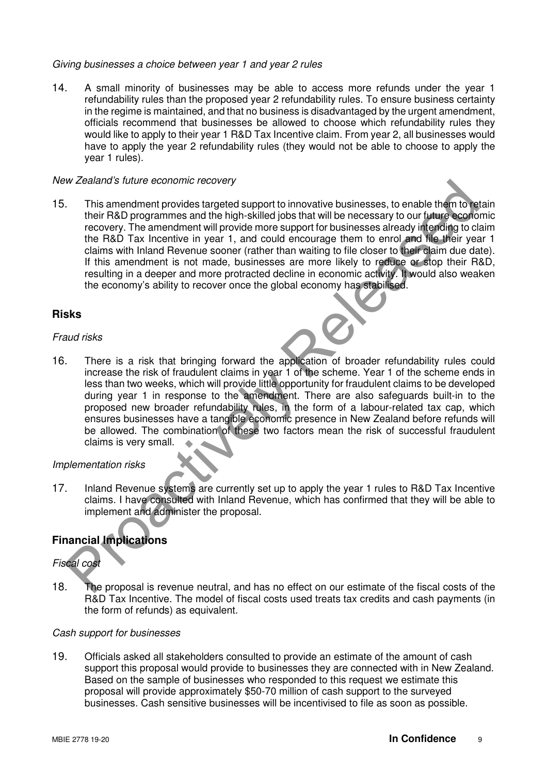#### Giving businesses a choice between year 1 and year 2 rules

14. A small minority of businesses may be able to access more refunds under the year 1 refundability rules than the proposed year 2 refundability rules. To ensure business certainty in the regime is maintained, and that no business is disadvantaged by the urgent amendment, officials recommend that businesses be allowed to choose which refundability rules they would like to apply to their year 1 R&D Tax Incentive claim. From year 2, all businesses would have to apply the year 2 refundability rules (they would not be able to choose to apply the year 1 rules).

#### New Zealand's future economic recovery

15. This amendment provides targeted support to innovative businesses, to enable them to retain their R&D programmes and the high-skilled jobs that will be necessary to our future economic recovery. The amendment will provide more support for businesses already intending to claim the R&D Tax Incentive in year 1, and could encourage them to enrol and file their year 1 claims with Inland Revenue sooner (rather than waiting to file closer to their claim due date). If this amendment is not made, businesses are more likely to reduce or stop their R&D, resulting in a deeper and more protracted decline in economic activity. It would also weaken the economy's ability to recover once the global economy has stabilised. Wealand's tuture economic recovery<br>
This amendment provides targeted support to innovative businesses, to enable them to their RaD programmes and the high-skilled jobs that will be necessary to our future economy. The amen

#### **Risks**

#### Fraud risks

16. There is a risk that bringing forward the application of broader refundability rules could increase the risk of fraudulent claims in year 1 of the scheme. Year 1 of the scheme ends in less than two weeks, which will provide little opportunity for fraudulent claims to be developed during year 1 in response to the amendment. There are also safeguards built-in to the proposed new broader refundability rules, in the form of a labour-related tax cap, which ensures businesses have a tangible economic presence in New Zealand before refunds will be allowed. The combination of these two factors mean the risk of successful fraudulent claims is very small.

#### Implementation risks

17. Inland Revenue systems are currently set up to apply the year 1 rules to R&D Tax Incentive claims. I have consulted with Inland Revenue, which has confirmed that they will be able to implement and administer the proposal.

## **Financial Implications**

## Fiscal cost

18. The proposal is revenue neutral, and has no effect on our estimate of the fiscal costs of the R&D Tax Incentive. The model of fiscal costs used treats tax credits and cash payments (in the form of refunds) as equivalent.

#### Cash support for businesses

19. Officials asked all stakeholders consulted to provide an estimate of the amount of cash support this proposal would provide to businesses they are connected with in New Zealand. Based on the sample of businesses who responded to this request we estimate this proposal will provide approximately \$50-70 million of cash support to the surveyed businesses. Cash sensitive businesses will be incentivised to file as soon as possible.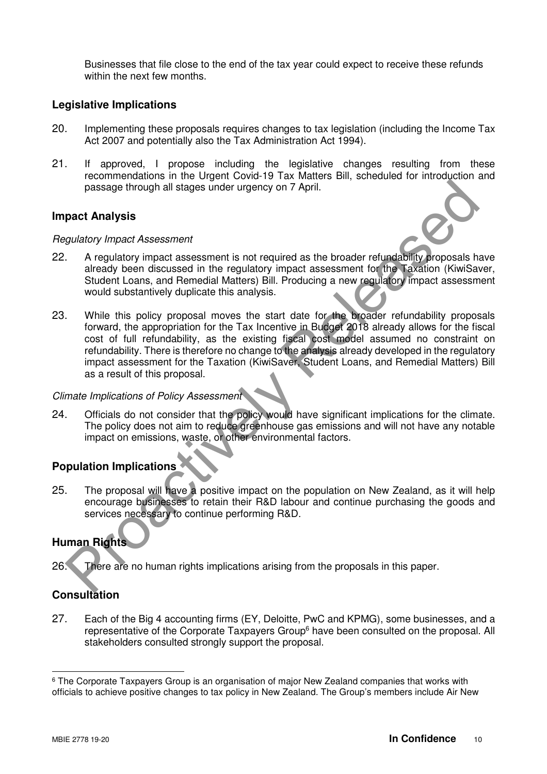Businesses that file close to the end of the tax year could expect to receive these refunds within the next few months.

#### **Legislative Implications**

- 20. Implementing these proposals requires changes to tax legislation (including the Income Tax Act 2007 and potentially also the Tax Administration Act 1994).
- 21. If approved, I propose including the legislative changes resulting from these recommendations in the Urgent Covid-19 Tax Matters Bill, scheduled for introduction and passage through all stages under urgency on 7 April.

#### **Impact Analysis**

#### Regulatory Impact Assessment



- 22. A regulatory impact assessment is not required as the broader refundability proposals have already been discussed in the regulatory impact assessment for the Taxation (KiwiSaver, Student Loans, and Remedial Matters) Bill. Producing a new regulatory impact assessment would substantively duplicate this analysis.
- 23. While this policy proposal moves the start date for the broader refundability proposals forward, the appropriation for the Tax Incentive in Budget 2018 already allows for the fiscal cost of full refundability, as the existing fiscal cost model assumed no constraint on refundability. There is therefore no change to the analysis already developed in the regulatory impact assessment for the Taxation (KiwiSaver, Student Loans, and Remedial Matters) Bill as a result of this proposal. passage through all stages under urgency on 7 April.<br> **Data Analysis**<br> *Sydlatory impact Assessment*<br>
A regulatory impact assessment is not required as the broader refundability proposals ha<br>
alcohed boom discussed in the

#### Climate Implications of Policy Assessment

24. Officials do not consider that the policy would have significant implications for the climate. The policy does not aim to reduce greenhouse gas emissions and will not have any notable impact on emissions, waste, or other environmental factors.

### **Population Implications**

25. The proposal will have a positive impact on the population on New Zealand, as it will help encourage businesses to retain their R&D labour and continue purchasing the goods and services necessary to continue performing R&D.

### **Human Rights**

26. There are no human rights implications arising from the proposals in this paper.

## **Consultation**

27. Each of the Big 4 accounting firms (EY, Deloitte, PwC and KPMG), some businesses, and a representative of the Corporate Taxpayers Group<sup>6</sup> have been consulted on the proposal. All stakeholders consulted strongly support the proposal.

 $\overline{a}$ 

 $^6$  The Corporate Taxpayers Group is an organisation of major New Zealand companies that works with officials to achieve positive changes to tax policy in New Zealand. The Group's members include Air New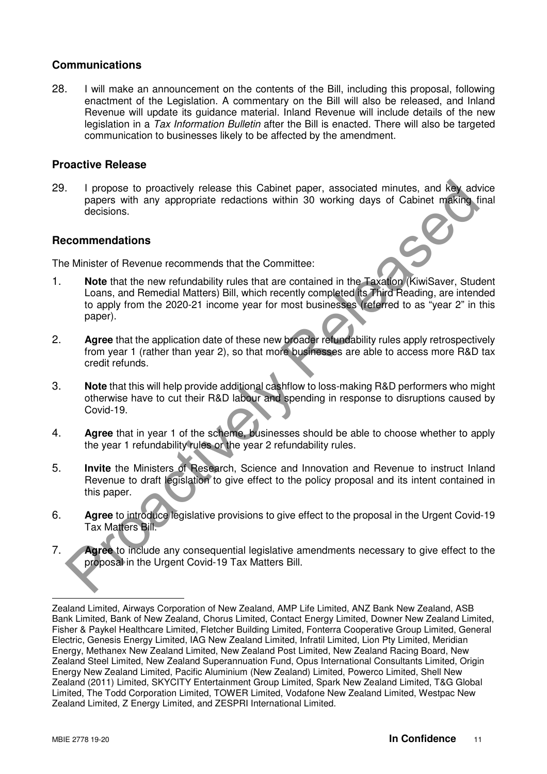#### **Communications**

28. I will make an announcement on the contents of the Bill, including this proposal, following enactment of the Legislation. A commentary on the Bill will also be released, and Inland Revenue will update its guidance material. Inland Revenue will include details of the new legislation in a Tax Information Bulletin after the Bill is enacted. There will also be targeted communication to businesses likely to be affected by the amendment.

#### **Proactive Release**

29. I propose to proactively release this Cabinet paper, associated minutes, and key advice papers with any appropriate redactions within 30 working days of Cabinet making final decisions.

#### **Recommendations**

The Minister of Revenue recommends that the Committee:

- 1. **Note** that the new refundability rules that are contained in the Taxation (KiwiSaver, Student Loans, and Remedial Matters) Bill, which recently completed its Third Reading, are intended to apply from the 2020-21 income year for most businesses (referred to as "year 2" in this paper). The propose to proactively release this Cabinet paper, associated minutes, and key advectes with any appropriate redactions within 30 working days of Cabinet making to decisions.<br> **Commendations**<br> **Commendations**<br> **Example**
- 2. **Agree** that the application date of these new broader refundability rules apply retrospectively from year 1 (rather than year 2), so that more businesses are able to access more R&D tax credit refunds.
- 3. **Note** that this will help provide additional cashflow to loss-making R&D performers who might otherwise have to cut their R&D labour and spending in response to disruptions caused by Covid-19.
- 4. **Agree** that in year 1 of the scheme, businesses should be able to choose whether to apply the year 1 refundability rules or the year 2 refundability rules.
- 5. **Invite** the Ministers of Research, Science and Innovation and Revenue to instruct Inland Revenue to draft legislation to give effect to the policy proposal and its intent contained in this paper.
- 6. **Agree** to introduce legislative provisions to give effect to the proposal in the Urgent Covid-19 Tax Matters Bill.
- 7. **Agree** to include any consequential legislative amendments necessary to give effect to the proposal in the Urgent Covid-19 Tax Matters Bill.

 $\overline{a}$ Zealand Limited, Airways Corporation of New Zealand, AMP Life Limited, ANZ Bank New Zealand, ASB Bank Limited, Bank of New Zealand, Chorus Limited, Contact Energy Limited, Downer New Zealand Limited, Fisher & Paykel Healthcare Limited, Fletcher Building Limited, Fonterra Cooperative Group Limited, General Electric, Genesis Energy Limited, IAG New Zealand Limited, Infratil Limited, Lion Pty Limited, Meridian Energy, Methanex New Zealand Limited, New Zealand Post Limited, New Zealand Racing Board, New Zealand Steel Limited, New Zealand Superannuation Fund, Opus International Consultants Limited, Origin Energy New Zealand Limited, Pacific Aluminium (New Zealand) Limited, Powerco Limited, Shell New Zealand (2011) Limited, SKYCITY Entertainment Group Limited, Spark New Zealand Limited, T&G Global Limited, The Todd Corporation Limited, TOWER Limited, Vodafone New Zealand Limited, Westpac New Zealand Limited, Z Energy Limited, and ZESPRI International Limited.